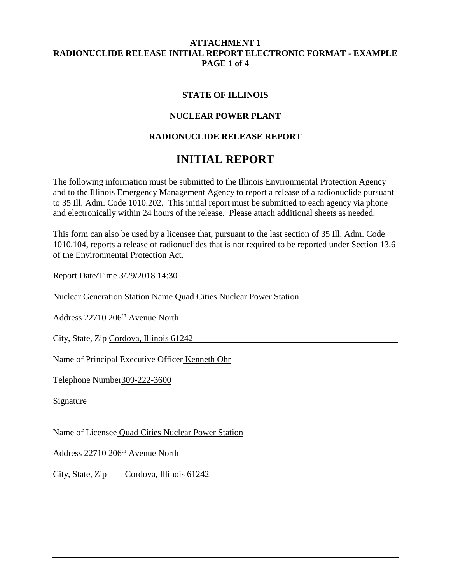### **ATTACHMENT 1 RADIONUCLIDE RELEASE INITIAL REPORT ELECTRONIC FORMAT - EXAMPLE PAGE 1 of 4**

### **STATE OF ILLINOIS**

# **NUCLEAR POWER PLANT**

# **RADIONUCLIDE RELEASE REPORT**

# **INITIAL REPORT**

The following information must be submitted to the Illinois Environmental Protection Agency and to the Illinois Emergency Management Agency to report a release of a radionuclide pursuant to 35 Ill. Adm. Code 1010.202. This initial report must be submitted to each agency via phone and electronically within 24 hours of the release. Please attach additional sheets as needed.

This form can also be used by a licensee that, pursuant to the last section of 35 Ill. Adm. Code 1010.104, reports a release of radionuclides that is not required to be reported under Section 13.6 of the Environmental Protection Act.

Report Date/Time 3/29/2018 14:30

Nuclear Generation Station Name Quad Cities Nuclear Power Station

Address 22710 206<sup>th</sup> Avenue North

City, State, Zip Cordova, Illinois 61242

Name of Principal Executive Officer Kenneth Ohr

Telephone Number309-222-3600

Signature Signature Signature and the state of  $\mathcal{S}_1$  and  $\mathcal{S}_2$  are stated by  $\mathcal{S}_3$  and  $\mathcal{S}_4$  are stated by  $\mathcal{S}_5$  and  $\mathcal{S}_6$  are stated by  $\mathcal{S}_7$  and  $\mathcal{S}_8$  are stated by  $\mathcal{S}_8$  and  $\mathcal{S}_9$ 

Name of Licensee Quad Cities Nuclear Power Station

Address 22710 206<sup>th</sup> Avenue North 2006 2007 12:00 12:00 12:00 12:00 12:00 12:00 12:00 12:00 12:00 12:00 12:00 12:00 12:00 12:00 12:00 12:00 12:00 12:00 12:00 12:00 12:00 12:00 12:00 12:00 12:00 12:00 12:00 12:00 12:00 12:

City, State, Zip Cordova, Illinois 61242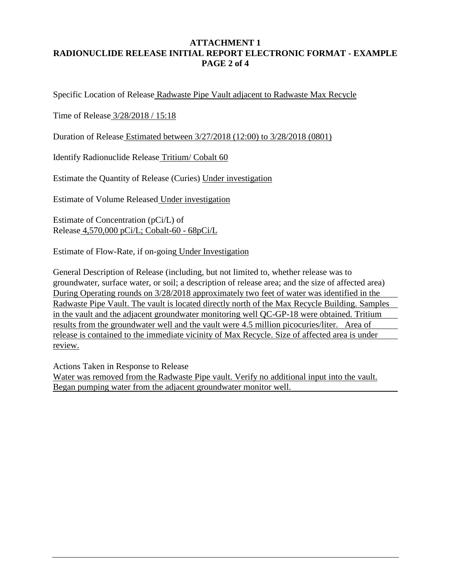# **ATTACHMENT 1 RADIONUCLIDE RELEASE INITIAL REPORT ELECTRONIC FORMAT - EXAMPLE PAGE 2 of 4**

Specific Location of Release Radwaste Pipe Vault adjacent to Radwaste Max Recycle

Time of Release 3/28/2018 / 15:18

Duration of Release Estimated between 3/27/2018 (12:00) to 3/28/2018 (0801)

Identify Radionuclide Release Tritium/ Cobalt 60

Estimate the Quantity of Release (Curies) Under investigation

Estimate of Volume Released Under investigation

Estimate of Concentration (pCi/L) of Release 4,570,000 pCi/L; Cobalt-60 - 68pCi/L

Estimate of Flow-Rate, if on-going Under Investigation

General Description of Release (including, but not limited to, whether release was to groundwater, surface water, or soil; a description of release area; and the size of affected area) During Operating rounds on 3/28/2018 approximately two feet of water was identified in the Radwaste Pipe Vault. The vault is located directly north of the Max Recycle Building. Samples in the vault and the adjacent groundwater monitoring well QC-GP-18 were obtained. Tritium results from the groundwater well and the vault were 4.5 million picocuries/liter. Area of release is contained to the immediate vicinity of Max Recycle. Size of affected area is under review.

Actions Taken in Response to Release Water was removed from the Radwaste Pipe vault. Verify no additional input into the vault. Began pumping water from the adjacent groundwater monitor well.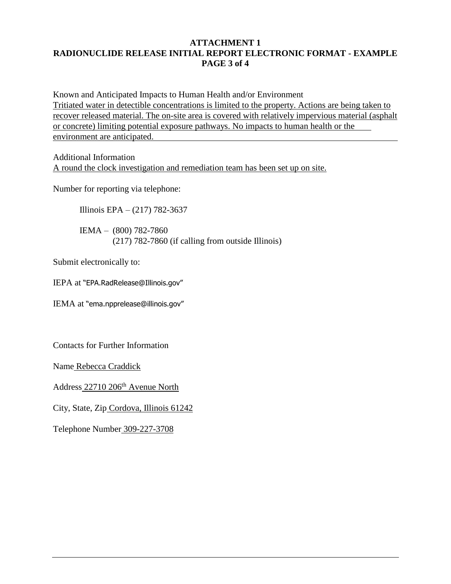# **ATTACHMENT 1 RADIONUCLIDE RELEASE INITIAL REPORT ELECTRONIC FORMAT - EXAMPLE PAGE 3 of 4**

Known and Anticipated Impacts to Human Health and/or Environment Tritiated water in detectible concentrations is limited to the property. Actions are being taken to recover released material. The on-site area is covered with relatively impervious material (asphalt or concrete) limiting potential exposure pathways. No impacts to human health or the environment are anticipated.

Additional Information A round the clock investigation and remediation team has been set up on site.

Number for reporting via telephone:

Illinois EPA – (217) 782-3637

IEMA – (800) 782-7860 (217) 782-7860 (if calling from outside Illinois)

Submit electronically to:

IEPA at "EPA.RadRelease@Illinois.gov"

IEMA at "ema.npprelease@illinois.gov"

Contacts for Further Information

Name Rebecca Craddick

Address 22710 206<sup>th</sup> Avenue North

City, State, Zip Cordova, Illinois 61242

Telephone Number 309-227-3708